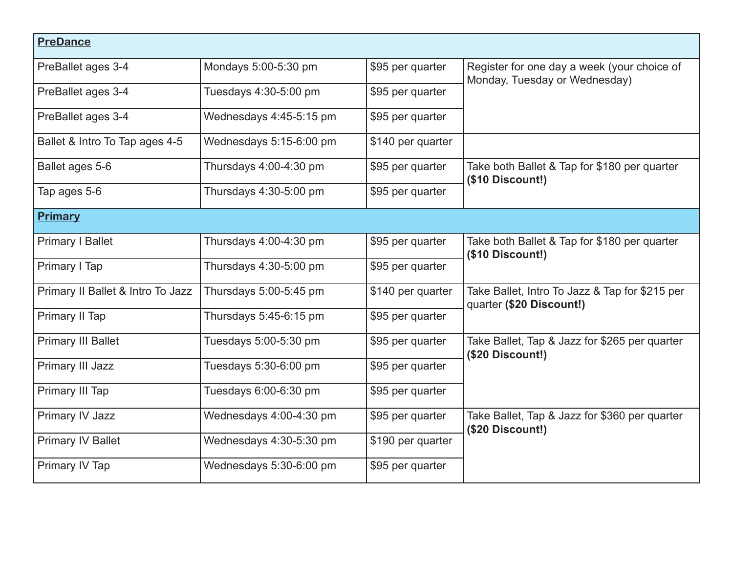| <b>PreDance</b>                   |                         |                   |                                                                              |  |  |  |
|-----------------------------------|-------------------------|-------------------|------------------------------------------------------------------------------|--|--|--|
| PreBallet ages 3-4                | Mondays 5:00-5:30 pm    | \$95 per quarter  | Register for one day a week (your choice of<br>Monday, Tuesday or Wednesday) |  |  |  |
| PreBallet ages 3-4                | Tuesdays 4:30-5:00 pm   | \$95 per quarter  |                                                                              |  |  |  |
| PreBallet ages 3-4                | Wednesdays 4:45-5:15 pm | \$95 per quarter  |                                                                              |  |  |  |
| Ballet & Intro To Tap ages 4-5    | Wednesdays 5:15-6:00 pm | \$140 per quarter |                                                                              |  |  |  |
| Ballet ages 5-6                   | Thursdays 4:00-4:30 pm  | \$95 per quarter  | Take both Ballet & Tap for \$180 per quarter<br>(\$10 Discount!)             |  |  |  |
| Tap ages 5-6                      | Thursdays 4:30-5:00 pm  | \$95 per quarter  |                                                                              |  |  |  |
| Primary                           |                         |                   |                                                                              |  |  |  |
| <b>Primary I Ballet</b>           | Thursdays 4:00-4:30 pm  | \$95 per quarter  | Take both Ballet & Tap for \$180 per quarter<br>(\$10 Discount!)             |  |  |  |
| Primary I Tap                     | Thursdays 4:30-5:00 pm  | \$95 per quarter  |                                                                              |  |  |  |
| Primary II Ballet & Intro To Jazz | Thursdays 5:00-5:45 pm  | \$140 per quarter | Take Ballet, Intro To Jazz & Tap for \$215 per<br>quarter (\$20 Discount!)   |  |  |  |
| Primary II Tap                    | Thursdays 5:45-6:15 pm  | \$95 per quarter  |                                                                              |  |  |  |
| <b>Primary III Ballet</b>         | Tuesdays 5:00-5:30 pm   | \$95 per quarter  | Take Ballet, Tap & Jazz for \$265 per quarter<br>$($20$ Discount!)           |  |  |  |
| Primary III Jazz                  | Tuesdays 5:30-6:00 pm   | \$95 per quarter  |                                                                              |  |  |  |
| Primary III Tap                   | Tuesdays 6:00-6:30 pm   | \$95 per quarter  |                                                                              |  |  |  |
| Primary IV Jazz                   | Wednesdays 4:00-4:30 pm | \$95 per quarter  | Take Ballet, Tap & Jazz for \$360 per quarter<br>$($20$ Discount!)           |  |  |  |
| <b>Primary IV Ballet</b>          | Wednesdays 4:30-5:30 pm | \$190 per quarter |                                                                              |  |  |  |
| Primary IV Tap                    | Wednesdays 5:30-6:00 pm | \$95 per quarter  |                                                                              |  |  |  |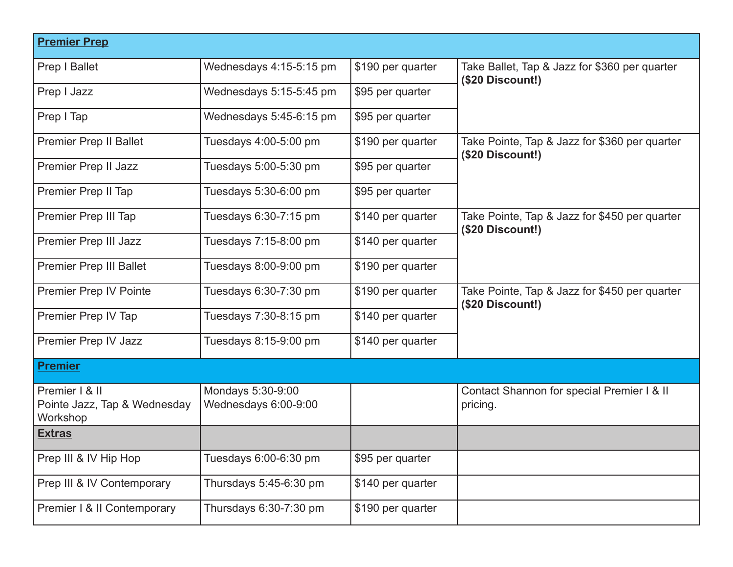| <b>Premier Prep</b>                                        |                                           |                   |                                                                    |
|------------------------------------------------------------|-------------------------------------------|-------------------|--------------------------------------------------------------------|
| Prep I Ballet                                              | Wednesdays 4:15-5:15 pm                   | \$190 per quarter | Take Ballet, Tap & Jazz for \$360 per quarter<br>$($20$ Discount!) |
| Prep I Jazz                                                | Wednesdays 5:15-5:45 pm                   | \$95 per quarter  |                                                                    |
| Prep I Tap                                                 | Wednesdays 5:45-6:15 pm                   | \$95 per quarter  |                                                                    |
| <b>Premier Prep II Ballet</b>                              | Tuesdays 4:00-5:00 pm                     | \$190 per quarter | Take Pointe, Tap & Jazz for \$360 per quarter<br>$($20$ Discount!) |
| Premier Prep II Jazz                                       | Tuesdays 5:00-5:30 pm                     | \$95 per quarter  |                                                                    |
| Premier Prep II Tap                                        | Tuesdays 5:30-6:00 pm                     | \$95 per quarter  |                                                                    |
| Premier Prep III Tap                                       | Tuesdays 6:30-7:15 pm                     | \$140 per quarter | Take Pointe, Tap & Jazz for \$450 per quarter<br>(\$20 Discount!)  |
| Premier Prep III Jazz                                      | Tuesdays 7:15-8:00 pm                     | \$140 per quarter |                                                                    |
| <b>Premier Prep III Ballet</b>                             | Tuesdays 8:00-9:00 pm                     | \$190 per quarter |                                                                    |
| <b>Premier Prep IV Pointe</b>                              | Tuesdays 6:30-7:30 pm                     | \$190 per quarter | Take Pointe, Tap & Jazz for \$450 per quarter<br>$($20$ Discount!) |
| Premier Prep IV Tap                                        | Tuesdays 7:30-8:15 pm                     | \$140 per quarter |                                                                    |
| Premier Prep IV Jazz                                       | Tuesdays 8:15-9:00 pm                     | \$140 per quarter |                                                                    |
| <b>Premier</b>                                             |                                           |                   |                                                                    |
| Premier   & II<br>Pointe Jazz, Tap & Wednesday<br>Workshop | Mondays 5:30-9:00<br>Wednesdays 6:00-9:00 |                   | Contact Shannon for special Premier I & II<br>pricing.             |
| <b>Extras</b>                                              |                                           |                   |                                                                    |
| Prep III & IV Hip Hop                                      | Tuesdays 6:00-6:30 pm                     | \$95 per quarter  |                                                                    |
| Prep III & IV Contemporary                                 | Thursdays 5:45-6:30 pm                    | \$140 per quarter |                                                                    |
| Premier I & II Contemporary                                | Thursdays 6:30-7:30 pm                    | \$190 per quarter |                                                                    |